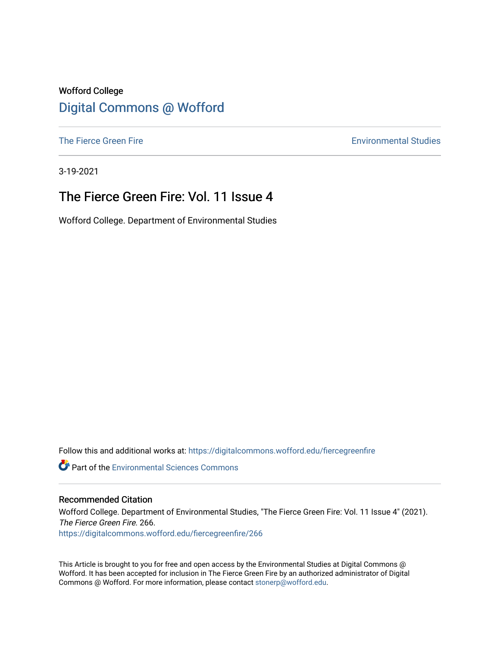### Wofford College [Digital Commons @ Wofford](https://digitalcommons.wofford.edu/)

[The Fierce Green Fire](https://digitalcommons.wofford.edu/fiercegreenfire) **Environmental Studies** 

3-19-2021

### The Fierce Green Fire: Vol. 11 Issue 4

Wofford College. Department of Environmental Studies

Follow this and additional works at: [https://digitalcommons.wofford.edu/fiercegreenfire](https://digitalcommons.wofford.edu/fiercegreenfire?utm_source=digitalcommons.wofford.edu%2Ffiercegreenfire%2F266&utm_medium=PDF&utm_campaign=PDFCoverPages) 

**C** Part of the [Environmental Sciences Commons](http://network.bepress.com/hgg/discipline/167?utm_source=digitalcommons.wofford.edu%2Ffiercegreenfire%2F266&utm_medium=PDF&utm_campaign=PDFCoverPages)

#### Recommended Citation

Wofford College. Department of Environmental Studies, "The Fierce Green Fire: Vol. 11 Issue 4" (2021). The Fierce Green Fire. 266. [https://digitalcommons.wofford.edu/fiercegreenfire/266](https://digitalcommons.wofford.edu/fiercegreenfire/266?utm_source=digitalcommons.wofford.edu%2Ffiercegreenfire%2F266&utm_medium=PDF&utm_campaign=PDFCoverPages) 

This Article is brought to you for free and open access by the Environmental Studies at Digital Commons @ Wofford. It has been accepted for inclusion in The Fierce Green Fire by an authorized administrator of Digital Commons @ Wofford. For more information, please contact [stonerp@wofford.edu.](mailto:stonerp@wofford.edu)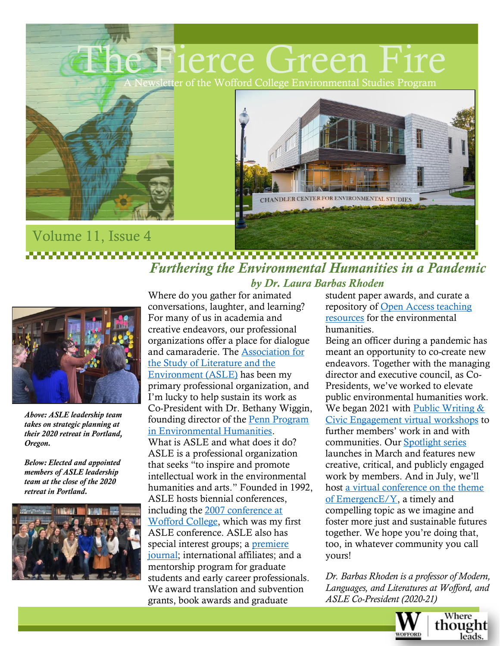

## Volume 11, Issue 4 *Furthering the Environmental Humanities in a Pandemic*



*Above: ASLE leadership team takes on strategic planning at their 2020 retreat in Portland, Oregon.*

*Below: Elected and appointed members of ASLE leadership team at the close of the 2020 retreat in Portland.*



*by Dr. Laura Barbas Rhoden* Where do you gather for animated conversations, laughter, and learning? For many of us in academia and creative endeavors, our professional organizations offer a place for dialogue and camaraderie. The [Association for](https://www.asle.org/)  [the Study of Literature and the](https://www.asle.org/)  [Environment \(ASLE\)](https://www.asle.org/) has been my primary professional organization, and I'm lucky to help sustain its work as Co-President with Dr. Bethany Wiggin, founding director of the [Penn Program](https://ppeh.sas.upenn.edu/)  [in Environmental Humanities.](https://ppeh.sas.upenn.edu/) What is ASLE and what does it do? ASLE is a professional organization that seeks "to inspire and promote intellectual work in the environmental humanities and arts." Founded in 1992, ASLE hosts biennial conferences, including the [2007 conference at](https://www.asle.org/conference/biennial-conference/archive/)  [Wofford College,](https://www.asle.org/conference/biennial-conference/archive/) which was my first ASLE conference. ASLE also has special interest groups; a premiere [journal;](https://www.asle.org/research-write/isle-journal/) international affiliates; and a mentorship program for graduate students and early career professionals. We award translation and subvention grants, book awards and graduate

student paper awards, and curate a repository of [Open Access teaching](https://www.asle.org/teach/teaching-resources-database/)  [resources](https://www.asle.org/teach/teaching-resources-database/) for the environmental humanities.

Being an officer during a pandemic has meant an opportunity to co-create new endeavors. Together with the managing director and executive council, as Co-Presidents, we've worked to elevate public environmental humanities work. We began 2021 with Public Writing & [Civic Engagement virtual](https://www.asle.org/stay-informed/asle-news/public-engagement-workshops/) workshops to further members' work in and with communities. Our [Spotlight series](https://www.asle.org/stay-informed/asle-news/spotlight-series-2021/) launches in March and features new creative, critical, and publicly engaged work by members. And in July, we'll host [a virtual conference on the theme](https://www.asle.org/stay-informed/asle-news/2021-virtual-conference-cfp/)  [of EmergencE/Y,](https://www.asle.org/stay-informed/asle-news/2021-virtual-conference-cfp/) a timely and compelling topic as we imagine and foster more just and sustainable futures together. We hope you're doing that, too, in whatever community you call yours!

*Dr. Barbas Rhoden is a professor of Modern, Languages, and Literatures at Wofford, and ASLE Co-President (2020-21)*